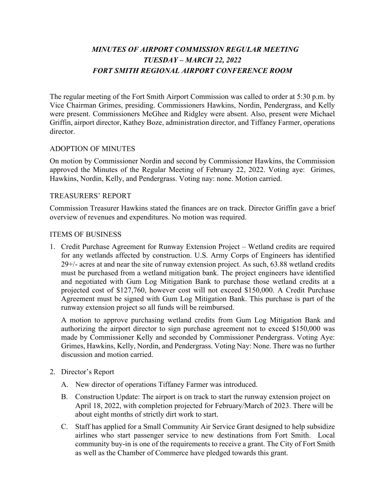# *MINUTES OF AIRPORT COMMISSION REGULAR MEETING TUESDAY – MARCH 22, 2022 FORT SMITH REGIONAL AIRPORT CONFERENCE ROOM*

The regular meeting of the Fort Smith Airport Commission was called to order at 5:30 p.m. by Vice Chairman Grimes, presiding. Commissioners Hawkins, Nordin, Pendergrass, and Kelly were present. Commissioners McGhee and Ridgley were absent. Also, present were Michael Griffin, airport director, Kathey Boze, administration director, and Tiffaney Farmer, operations director.

### ADOPTION OF MINUTES

On motion by Commissioner Nordin and second by Commissioner Hawkins, the Commission approved the Minutes of the Regular Meeting of February 22, 2022. Voting aye: Grimes, Hawkins, Nordin, Kelly, and Pendergrass. Voting nay: none. Motion carried.

#### TREASURERS' REPORT

Commission Treasurer Hawkins stated the finances are on track. Director Griffin gave a brief overview of revenues and expenditures. No motion was required.

#### ITEMS OF BUSINESS

1. Credit Purchase Agreement for Runway Extension Project – Wetland credits are required for any wetlands affected by construction. U.S. Army Corps of Engineers has identified 29+/- acres at and near the site of runway extension project. As such, 63.88 wetland credits must be purchased from a wetland mitigation bank. The project engineers have identified and negotiated with Gum Log Mitigation Bank to purchase those wetland credits at a projected cost of \$127,760, however cost will not exceed \$150,000. A Credit Purchase Agreement must be signed with Gum Log Mitigation Bank. This purchase is part of the runway extension project so all funds will be reimbursed.

A motion to approve purchasing wetland credits from Gum Log Mitigation Bank and authorizing the airport director to sign purchase agreement not to exceed \$150,000 was made by Commissioner Kelly and seconded by Commissioner Pendergrass. Voting Aye: Grimes, Hawkins, Kelly, Nordin, and Pendergrass. Voting Nay: None. There was no further discussion and motion carried.

- 2. Director's Report
	- A. New director of operations Tiffaney Farmer was introduced.
	- B. Construction Update: The airport is on track to start the runway extension project on April 18, 2022, with completion projected for February/March of 2023. There will be about eight months of strictly dirt work to start.
	- C. Staff has applied for a Small Community Air Service Grant designed to help subsidize airlines who start passenger service to new destinations from Fort Smith. Local community buy-in is one of the requirements to receive a grant. The City of Fort Smith as well as the Chamber of Commerce have pledged towards this grant.